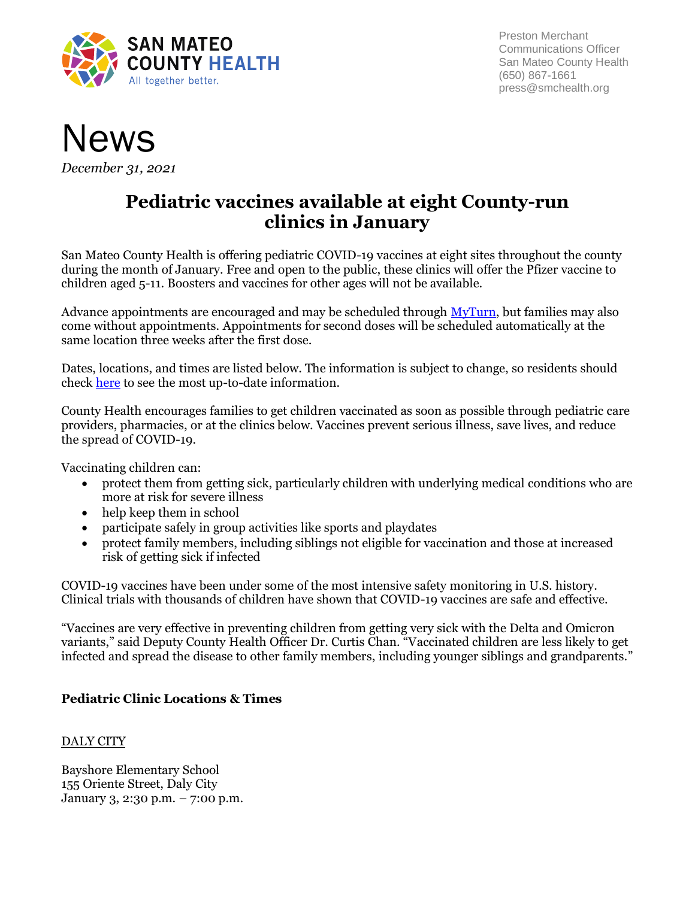

Preston Merchant Communications Officer San Mateo County Health (650) 867-1661 press@smchealth.org



*December 31, 2021*

# **Pediatric vaccines available at eight County-run clinics in January**

San Mateo County Health is offering pediatric COVID-19 vaccines at eight sites throughout the county during the month of January. Free and open to the public, these clinics will offer the Pfizer vaccine to children aged 5-11. Boosters and vaccines for other ages will not be available.

Advance appointments are encouraged and may be scheduled through [MyTurn,](https://myturn.ca.gov/) but families may also come without appointments. Appointments for second doses will be scheduled automatically at the same location three weeks after the first dose.

Dates, locations, and times are listed below. The information is subject to change, so residents should check [here](https://www.smchealth.org/pedsvaccine) to see the most up-to-date information.

County Health encourages families to get children vaccinated as soon as possible through pediatric care providers, pharmacies, or at the clinics below. Vaccines prevent serious illness, save lives, and reduce the spread of COVID-19.

Vaccinating children can:

- protect them from getting sick, particularly children with underlying medical conditions who are more at risk for severe illness
- help keep them in school
- participate safely in group activities like sports and playdates
- protect family members, including siblings not eligible for vaccination and those at increased risk of getting sick if infected

COVID-19 vaccines have been under some of the most intensive safety monitoring in U.S. history. Clinical trials with thousands of children have shown that COVID-19 vaccines are safe and effective.

"Vaccines are very effective in preventing children from getting very sick with the Delta and Omicron variants," said Deputy County Health Officer Dr. Curtis Chan. "Vaccinated children are less likely to get infected and spread the disease to other family members, including younger siblings and grandparents."

# **Pediatric Clinic Locations & Times**

# DALY CITY

Bayshore Elementary School 155 Oriente Street, Daly City January 3, 2:30 p.m. – 7:00 p.m.